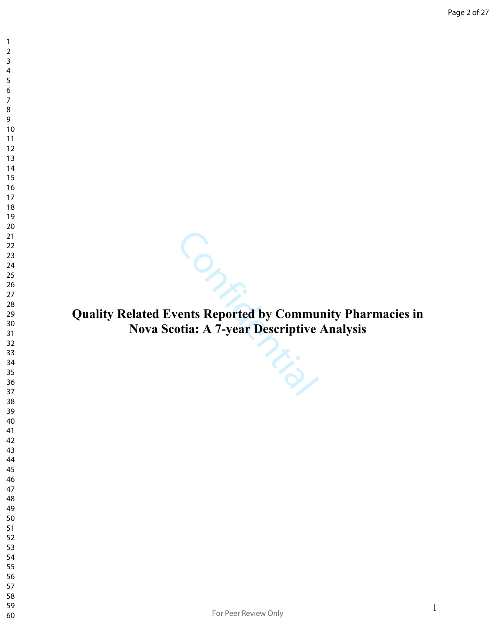- 
- 
- 

Solar Scotia: A 7-year Descriptive Analysis

**Quality Related Events Reported by Community Pharmacies in Nova Scotia: A 7-year Descriptive Analysis**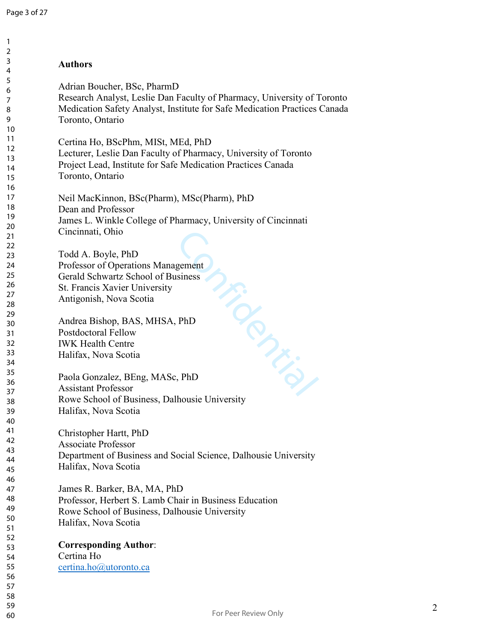| $\mathbf{1}$   |                                                                           |
|----------------|---------------------------------------------------------------------------|
| $\overline{2}$ |                                                                           |
| 3              | <b>Authors</b>                                                            |
| 4              |                                                                           |
| 5              | Adrian Boucher, BSc, PharmD                                               |
| 6              |                                                                           |
| 7              | Research Analyst, Leslie Dan Faculty of Pharmacy, University of Toronto   |
| 8              | Medication Safety Analyst, Institute for Safe Medication Practices Canada |
| 9              | Toronto, Ontario                                                          |
| 10             |                                                                           |
| 11             | Certina Ho, BScPhm, MISt, MEd, PhD                                        |
| 12             | Lecturer, Leslie Dan Faculty of Pharmacy, University of Toronto           |
| 13             | Project Lead, Institute for Safe Medication Practices Canada              |
| 14             |                                                                           |
| 15             | Toronto, Ontario                                                          |
| 16             |                                                                           |
| 17             | Neil MacKinnon, BSc(Pharm), MSc(Pharm), PhD                               |
| 18             | Dean and Professor                                                        |
| 19             | James L. Winkle College of Pharmacy, University of Cincinnati             |
| 20             | Cincinnati, Ohio                                                          |
| 21             |                                                                           |
| 22             |                                                                           |
| 23             | Todd A. Boyle, PhD                                                        |
| 24             | Professor of Operations Management                                        |
| 25             | Gerald Schwartz School of Business                                        |
| 26             | St. Francis Xavier University                                             |
| 27             | Antigonish, Nova Scotia                                                   |
| 28             |                                                                           |
| 29             | Andrea Bishop, BAS, MHSA, PhD                                             |
| 30             |                                                                           |
| 31             | Postdoctoral Fellow                                                       |
| 32             | <b>IWK Health Centre</b>                                                  |
| 33             | Halifax, Nova Scotia                                                      |
| 34             | million                                                                   |
| 35             | Paola Gonzalez, BEng, MASc, PhD                                           |
| 36             | <b>Assistant Professor</b>                                                |
| 37             | Rowe School of Business, Dalhousie University                             |
| 38             |                                                                           |
| 39             | Halifax, Nova Scotia                                                      |
| 40             |                                                                           |
| 41             | Christopher Hartt, PhD                                                    |
| 42             | <b>Associate Professor</b>                                                |
| 43             | Department of Business and Social Science, Dalhousie University           |
| 44             | Halifax, Nova Scotia                                                      |
| 45             |                                                                           |
| 46             |                                                                           |
| 47             | James R. Barker, BA, MA, PhD                                              |
| 48             | Professor, Herbert S. Lamb Chair in Business Education                    |
| 49             | Rowe School of Business, Dalhousie University                             |
| 50<br>51       | Halifax, Nova Scotia                                                      |
|                |                                                                           |
| 52<br>53       | <b>Corresponding Author:</b>                                              |
| 54             | Certina Ho                                                                |
| 55             |                                                                           |
| 56             | certina.ho@utoronto.ca                                                    |
| 57             |                                                                           |
| 58             |                                                                           |
| 59             |                                                                           |
| 60             | For Peer Review Only                                                      |
|                |                                                                           |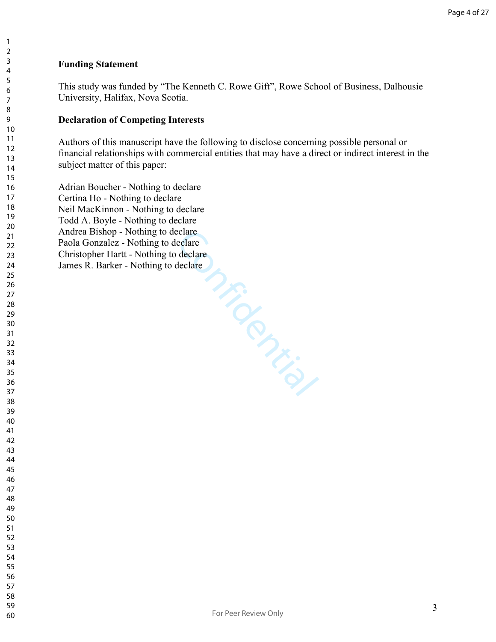#### **Funding Statement**

This study was funded by "The Kenneth C. Rowe Gift", Rowe School of Business, Dalhousie University, Halifax, Nova Scotia.

#### **Declaration of Competing Interests**

Authors of this manuscript have the following to disclose concerning possible personal or financial relationships with commercial entities that may have a direct or indirect interest in the subject matter of this paper:

Eclare M.F. Adrian Boucher - Nothing to declare Certina Ho - Nothing to declare Neil MacKinnon - Nothing to declare Todd A. Boyle - Nothing to declare Andrea Bishop - Nothing to declare Paola Gonzalez - Nothing to declare Christopher Hartt - Nothing to declare James R. Barker - Nothing to declare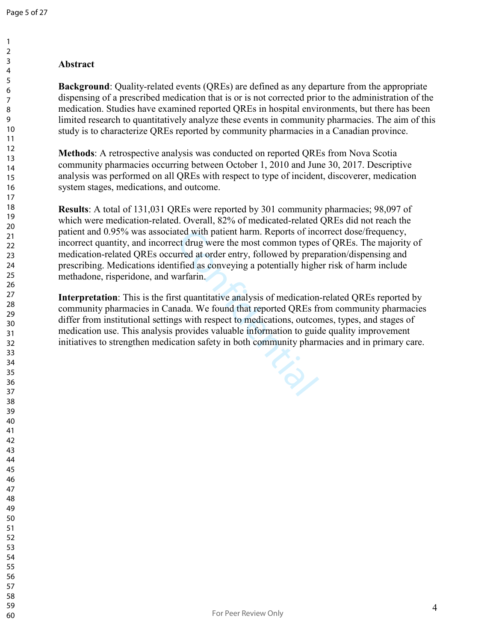## **Abstract**

**Background**: Quality-related events (QREs) are defined as any departure from the appropriate dispensing of a prescribed medication that is or is not corrected prior to the administration of the medication. Studies have examined reported QREs in hospital environments, but there has been limited research to quantitatively analyze these events in community pharmacies. The aim of this study is to characterize QREs reported by community pharmacies in a Canadian province.

**Methods**: A retrospective analysis was conducted on reported QREs from Nova Scotia community pharmacies occurring between October 1, 2010 and June 30, 2017. Descriptive analysis was performed on all QREs with respect to type of incident, discoverer, medication system stages, medications, and outcome.

**Results**: A total of 131,031 QREs were reported by 301 community pharmacies; 98,097 of which were medication-related. Overall, 82% of medicated-related QREs did not reach the patient and 0.95% was associated with patient harm. Reports of incorrect dose/frequency, incorrect quantity, and incorrect drug were the most common types of QREs. The majority of medication-related QREs occurred at order entry, followed by preparation/dispensing and prescribing. Medications identified as conveying a potentially higher risk of harm include methadone, risperidone, and warfarin.

ted with patient harm. Reports of inc<br>ct drug were the most common types<br>irred at order entry, followed by prep<br>ified as conveying a potentially high<br>varfarin.<br>st quantitative analysis of medication<br>ada. We found that repo **Interpretation**: This is the first quantitative analysis of medication-related QREs reported by community pharmacies in Canada. We found that reported QREs from community pharmacies differ from institutional settings with respect to medications, outcomes, types, and stages of medication use. This analysis provides valuable information to guide quality improvement initiatives to strengthen medication safety in both community pharmacies and in primary care.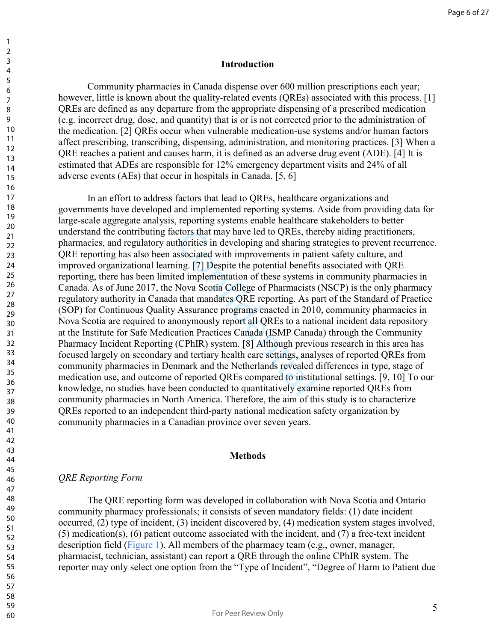#### **Introduction**

Community pharmacies in Canada dispense over 600 million prescriptions each year; however, little is known about the quality-related events (QREs) associated with this process. [1] QREs are defined as any departure from the appropriate dispensing of a prescribed medication (e.g. incorrect drug, dose, and quantity) that is or is not corrected prior to the administration of the medication. [2] QREs occur when vulnerable medication-use systems and/or human factors affect prescribing, transcribing, dispensing, administration, and monitoring practices. [3] When a QRE reaches a patient and causes harm, it is defined as an adverse drug event (ADE). [4] It is estimated that ADEs are responsible for 12% emergency department visits and 24% of all adverse events (AEs) that occur in hospitals in Canada. [5, 6]

ctors that may have led to QREs, then<br>thorities in developing and sharing st<br>ssociated with improvements in patie<br>ing. [7] Despite the potential benefits<br>ed implementation of these systems i<br>Nova Scotia College of Pharmaci In an effort to address factors that lead to QREs, healthcare organizations and governments have developed and implemented reporting systems. Aside from providing data for large-scale aggregate analysis, reporting systems enable healthcare stakeholders to better understand the contributing factors that may have led to QREs, thereby aiding practitioners, pharmacies, and regulatory authorities in developing and sharing strategies to prevent recurrence. QRE reporting has also been associated with improvements in patient safety culture, and improved organizational learning. [7] Despite the potential benefits associated with QRE reporting, there has been limited implementation of these systems in community pharmacies in Canada. As of June 2017, the Nova Scotia College of Pharmacists (NSCP) is the only pharmacy regulatory authority in Canada that mandates QRE reporting. As part of the Standard of Practice (SOP) for Continuous Quality Assurance programs enacted in 2010, community pharmacies in Nova Scotia are required to anonymously report all QREs to a national incident data repository at the Institute for Safe Medication Practices Canada (ISMP Canada) through the Community Pharmacy Incident Reporting (CPhIR) system. [8] Although previous research in this area has focused largely on secondary and tertiary health care settings, analyses of reported QREs from community pharmacies in Denmark and the Netherlands revealed differences in type, stage of medication use, and outcome of reported QREs compared to institutional settings. [9, 10] To our knowledge, no studies have been conducted to quantitatively examine reported QREs from community pharmacies in North America. Therefore, the aim of this study is to characterize QREs reported to an independent third-party national medication safety organization by community pharmacies in a Canadian province over seven years.

#### **Methods**

### *QRE Reporting Form*

The QRE reporting form was developed in collaboration with Nova Scotia and Ontario community pharmacy professionals; it consists of seven mandatory fields: (1) date incident occurred, (2) type of incident, (3) incident discovered by, (4) medication system stages involved, (5) medication(s), (6) patient outcome associated with the incident, and (7) a free-text incident description field (Figure 1). All members of the pharmacy team (e.g., owner, manager, pharmacist, technician, assistant) can report a QRE through the online CPhIR system. The reporter may only select one option from the "Type of Incident", "Degree of Harm to Patient due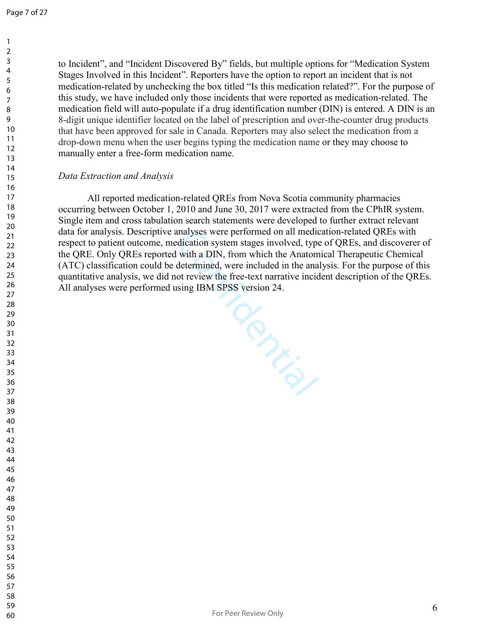to Incident", and "Incident Discovered By" fields, but multiple options for "Medication System Stages Involved in this Incident". Reporters have the option to report an incident that is not medication-related by unchecking the box titled "Is this medication related?". For the purpose of this study, we have included only those incidents that were reported as medication-related. The medication field will auto-populate if a drug identification number (DIN) is entered. A DIN is an 8-digit unique identifier located on the label of prescription and over-the-counter drug products that have been approved for sale in Canada. Reporters may also select the medication from a drop-down menu when the user begins typing the medication name or they may choose to manually enter a free-form medication name.

#### *Data Extraction and Analysis*

All reported medication-related QREs from Nova Scotia community pharmacies occurring between October 1, 2010 and June 30, 2017 were extracted from the CPhIR system. Single item and cross tabulation search statements were developed to further extract relevant data for analysis. Descriptive analyses were performed on all medication-related QREs with respect to patient outcome, medication system stages involved, type of QREs, and discoverer of the QRE. Only QREs reported with a DIN, from which the Anatomical Therapeutic Chemical (ATC) classification could be determined, were included in the analysis. For the purpose of this quantitative analysis, we did not review the free-text narrative incident description of the QREs. All analyses were performed using IBM SPSS version 24.

Confidence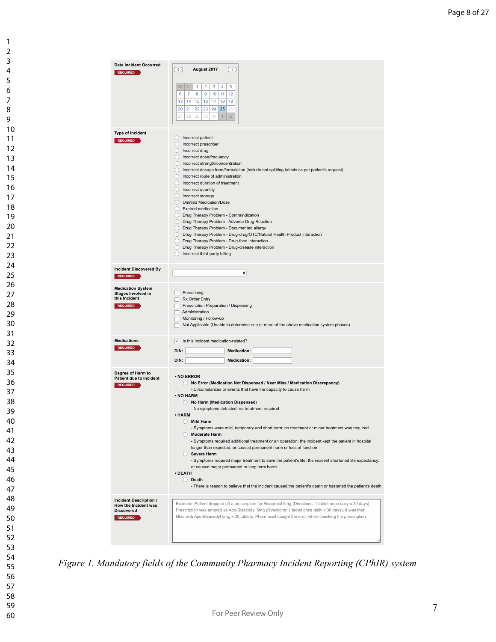| <b>Date Incident Occurred</b><br><b>REQUIRED</b>      | $\left\langle \right\rangle$<br>August 2017<br>$\,>\,$                                                                          |
|-------------------------------------------------------|---------------------------------------------------------------------------------------------------------------------------------|
|                                                       | 5<br>30 31<br>4                                                                                                                 |
|                                                       | 3<br>1<br>$\overline{2}$<br>7<br>12<br>6<br>8<br>9<br>10<br>11                                                                  |
|                                                       | 13<br>14<br>15<br>16<br>17<br>18<br>19                                                                                          |
|                                                       | 24<br>20<br>21<br>22<br>23<br>25<br>26                                                                                          |
|                                                       | 27<br>29<br>30<br>31<br>$\overline{2}$<br>28<br>$\mathbf{1}$                                                                    |
| <b>Type of Incident</b>                               |                                                                                                                                 |
| <b>REQUIRED</b>                                       | ncorrect patient                                                                                                                |
|                                                       | ncorrect prescriber<br>O Incorrect drug                                                                                         |
|                                                       | ncorrect dose/frequency                                                                                                         |
|                                                       | ncorrect strength/concentration<br>◯ Incorrect dosage form/formulation (include not splitting tablets as per patient's request) |
|                                                       | Incorrect route of administration                                                                                               |
|                                                       | ncorrect duration of treatment                                                                                                  |
|                                                       | <b>O</b> Incorrect quantity<br>O Incorrect storage                                                                              |
|                                                       | O Omitted Medication/Dose                                                                                                       |
|                                                       | Expired medication<br>O Drug Therapy Problem - Contraindication                                                                 |
|                                                       | <b>O</b> Drug Therapy Problem - Adverse Drug Reaction                                                                           |
|                                                       | O Drug Therapy Problem - Documented allergy                                                                                     |
|                                                       | O Drug Therapy Problem - Drug-drug/OTC/Natural Health Product interaction<br>O Drug Therapy Problem - Drug-food interaction     |
|                                                       | <b>O</b> Drug Therapy Problem - Drug-disease interaction                                                                        |
|                                                       | ncorrect third-party billing                                                                                                    |
| <b>Incident Discovered By</b><br><b>REQUIRED</b>      | ٠                                                                                                                               |
|                                                       |                                                                                                                                 |
| <b>Medication System</b><br><b>Stages Involved in</b> | Prescribing                                                                                                                     |
| this Incident<br>Rx Order Entry                       |                                                                                                                                 |
| <b>REQUIRED</b>                                       | Prescription Preparation / Dispensing<br>Administration                                                                         |
|                                                       | Monitoring / Follow-up                                                                                                          |
|                                                       | Not Applicable (Unable to determine one or more of the above medication system phases)                                          |
| <b>Medications</b>                                    | $\vee$ Is this incident medication-related?                                                                                     |
| <b>REQUIRED</b>                                       | DIN:<br><b>Medication:</b>                                                                                                      |
|                                                       | DIN:<br><b>Medication:</b>                                                                                                      |
| Degree of Harm to<br><b>Patient due to Incident</b>   | $\cdot$ NO ERROR                                                                                                                |
| <b>REQUIRED</b>                                       | <b>O</b> No Error (Medication Not Dispensed / Near Miss / Medication Discrepancy)                                               |
|                                                       | - Circumstances or events that have the capacity to cause harm<br>. NO HARM                                                     |
|                                                       | No Harm (Medication Dispensed)                                                                                                  |
|                                                       | - No symptoms detected; no treatment required<br>• HARM                                                                         |
|                                                       | <b>Mild Harm</b>                                                                                                                |
|                                                       | - Symptoms were mild, temporary and short term; no treatment or minor treatment was required                                    |
|                                                       | Moderate Harm<br>- Symptoms required additional treatment or an operation; the incident kept the patient in hospital            |
|                                                       | longer than expected; or caused permanent harm or loss of function                                                              |
|                                                       | Severe Harm<br>- Symptoms required major treatment to save the patient's life; the incident shortened life expectancy;          |
|                                                       | or caused major permanent or long term harm                                                                                     |
|                                                       | · DEATH<br>◯ Death                                                                                                              |
|                                                       | - There is reason to believe that the incident caused the patient's death or hastened the patient's death                       |
| Incident Description /                                | Example: Patient dropped off a prescription for Bisoprolol 5mg (Directions: 1 tablet once daily x 30 days).                     |
| How the Incident was<br><b>Discovered</b>             | Prescription was entered as Apo-Bisacodyl 5mg (Directions: 1 tablet once daily x 30 days). It was then                          |
| <b>REQUIRED</b>                                       | filled with Apo-Bisacodyl 5mg x 30 tablets. Pharmacist caught the error when checking the prescription.                         |
|                                                       |                                                                                                                                 |
|                                                       |                                                                                                                                 |
|                                                       |                                                                                                                                 |

*Figure 1. Mandatory fields of the Community Pharmacy Incident Reporting (CPhIR) system*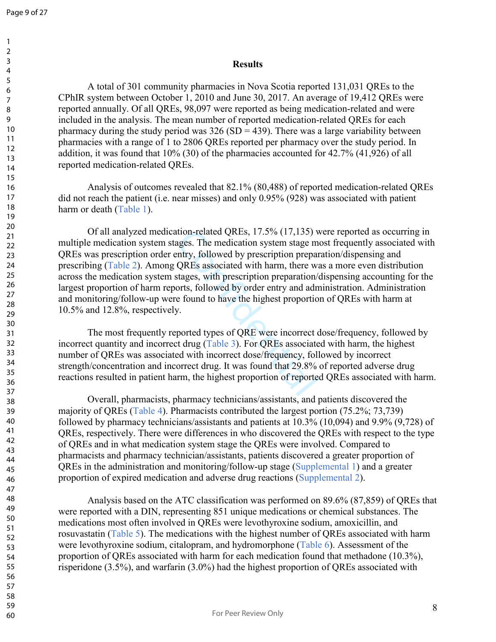#### **Results**

A total of 301 community pharmacies in Nova Scotia reported 131,031 QREs to the CPhIR system between October 1, 2010 and June 30, 2017. An average of 19,412 QREs were reported annually. Of all QREs, 98,097 were reported as being medication-related and were included in the analysis. The mean number of reported medication-related QREs for each pharmacy during the study period was  $326(SD = 439)$ . There was a large variability between pharmacies with a range of 1 to 2806 QREs reported per pharmacy over the study period. In addition, it was found that 10% (30) of the pharmacies accounted for 42.7% (41,926) of all reported medication-related QREs.

Analysis of outcomes revealed that 82.1% (80,488) of reported medication-related QREs did not reach the patient (i.e. near misses) and only 0.95% (928) was associated with patient harm or death (Table 1).

ition-related QREs, 17.5% (17,135) v<br>ages. The medication system stage m<br>mtry, followed by prescription prepar<br>QREs associated with harm, there wistages, with prescription preparation/<br>orts, followed by order entry and adn Of all analyzed medication-related QREs, 17.5% (17,135) were reported as occurring in multiple medication system stages. The medication system stage most frequently associated with QREs was prescription order entry, followed by prescription preparation/dispensing and prescribing (Table 2). Among QREs associated with harm, there was a more even distribution across the medication system stages, with prescription preparation/dispensing accounting for the largest proportion of harm reports, followed by order entry and administration. Administration and monitoring/follow-up were found to have the highest proportion of QREs with harm at 10.5% and 12.8%, respectively.

The most frequently reported types of QRE were incorrect dose/frequency, followed by incorrect quantity and incorrect drug (Table 3). For QREs associated with harm, the highest number of QREs was associated with incorrect dose/frequency, followed by incorrect strength/concentration and incorrect drug. It was found that 29.8% of reported adverse drug reactions resulted in patient harm, the highest proportion of reported QREs associated with harm.

Overall, pharmacists, pharmacy technicians/assistants, and patients discovered the majority of QREs (Table 4). Pharmacists contributed the largest portion (75.2%; 73,739) followed by pharmacy technicians/assistants and patients at 10.3% (10,094) and 9.9% (9,728) of QREs, respectively. There were differences in who discovered the QREs with respect to the type of QREs and in what medication system stage the QREs were involved. Compared to pharmacists and pharmacy technician/assistants, patients discovered a greater proportion of QREs in the administration and monitoring/follow-up stage (Supplemental 1) and a greater proportion of expired medication and adverse drug reactions (Supplemental 2).

Analysis based on the ATC classification was performed on 89.6% (87,859) of QREs that were reported with a DIN, representing 851 unique medications or chemical substances. The medications most often involved in QREs were levothyroxine sodium, amoxicillin, and rosuvastatin (Table 5). The medications with the highest number of QREs associated with harm were levothyroxine sodium, citalopram, and hydromorphone (Table 6). Assessment of the proportion of QREs associated with harm for each medication found that methadone (10.3%), risperidone (3.5%), and warfarin (3.0%) had the highest proportion of QREs associated with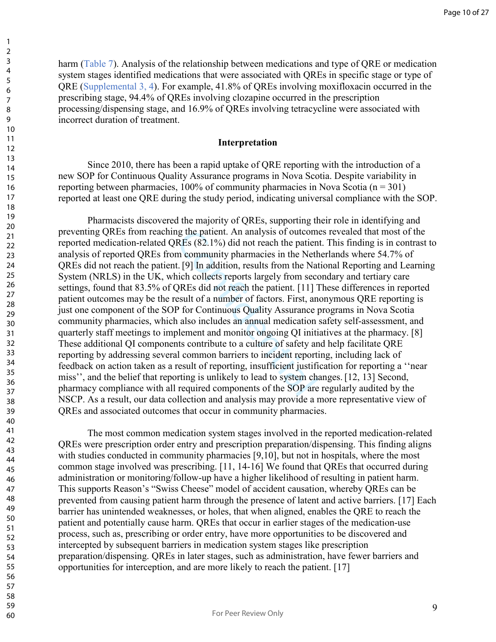harm (Table 7). Analysis of the relationship between medications and type of ORE or medication system stages identified medications that were associated with QREs in specific stage or type of QRE (Supplemental 3, 4). For example, 41.8% of QREs involving moxifloxacin occurred in the prescribing stage, 94.4% of QREs involving clozapine occurred in the prescription processing/dispensing stage, and 16.9% of QREs involving tetracycline were associated with incorrect duration of treatment.

#### **Interpretation**

 Since 2010, there has been a rapid uptake of QRE reporting with the introduction of a new SOP for Continuous Quality Assurance programs in Nova Scotia. Despite variability in reporting between pharmacies,  $100\%$  of community pharmacies in Nova Scotia (n = 301) reported at least one QRE during the study period, indicating universal compliance with the SOP.

ng the patient. An analysis of outcoments REs (82.1%) did not reach the patien<br>m community pharmacies in the Neth<br>t. [9] In addition, results from the Nat<br>ich collects reports largely from seco<br>QREs did not reach the patie Pharmacists discovered the majority of QREs, supporting their role in identifying and preventing QREs from reaching the patient. An analysis of outcomes revealed that most of the reported medication-related QREs (82.1%) did not reach the patient. This finding is in contrast to analysis of reported QREs from community pharmacies in the Netherlands where 54.7% of QREs did not reach the patient. [9] In addition, results from the National Reporting and Learning System (NRLS) in the UK, which collects reports largely from secondary and tertiary care settings, found that 83.5% of QREs did not reach the patient. [11] These differences in reported patient outcomes may be the result of a number of factors. First, anonymous QRE reporting is just one component of the SOP for Continuous Quality Assurance programs in Nova Scotia community pharmacies, which also includes an annual medication safety self-assessment, and quarterly staff meetings to implement and monitor ongoing QI initiatives at the pharmacy. [8] These additional QI components contribute to a culture of safety and help facilitate QRE reporting by addressing several common barriers to incident reporting, including lack of feedback on action taken as a result of reporting, insufficient justification for reporting a ''near miss'', and the belief that reporting is unlikely to lead to system changes. [12, 13] Second, pharmacy compliance with all required components of the SOP are regularly audited by the NSCP. As a result, our data collection and analysis may provide a more representative view of QREs and associated outcomes that occur in community pharmacies.

The most common medication system stages involved in the reported medication-related QREs were prescription order entry and prescription preparation/dispensing. This finding aligns with studies conducted in community pharmacies [9,10], but not in hospitals, where the most common stage involved was prescribing. [11, 14-16] We found that QREs that occurred during administration or monitoring/follow-up have a higher likelihood of resulting in patient harm. This supports Reason's "Swiss Cheese" model of accident causation, whereby QREs can be prevented from causing patient harm through the presence of latent and active barriers. [17] Each barrier has unintended weaknesses, or holes, that when aligned, enables the QRE to reach the patient and potentially cause harm. QREs that occur in earlier stages of the medication-use process, such as, prescribing or order entry, have more opportunities to be discovered and intercepted by subsequent barriers in medication system stages like prescription preparation/dispensing. QREs in later stages, such as administration, have fewer barriers and opportunities for interception, and are more likely to reach the patient. [17]

60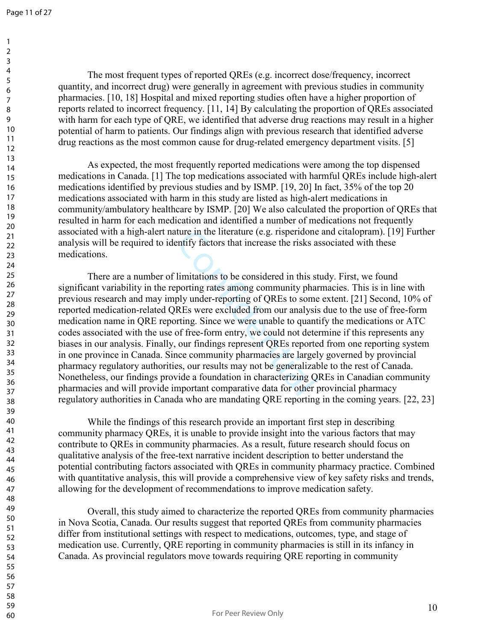> 59 60

The most frequent types of reported QREs (e.g. incorrect dose/frequency, incorrect quantity, and incorrect drug) were generally in agreement with previous studies in community pharmacies. [10, 18] Hospital and mixed reporting studies often have a higher proportion of reports related to incorrect frequency. [11, 14] By calculating the proportion of QREs associated with harm for each type of QRE, we identified that adverse drug reactions may result in a higher potential of harm to patients. Our findings align with previous research that identified adverse drug reactions as the most common cause for drug-related emergency department visits. [5]

 As expected, the most frequently reported medications were among the top dispensed medications in Canada. [1] The top medications associated with harmful QREs include high-alert medications identified by previous studies and by ISMP. [19, 20] In fact, 35% of the top 20 medications associated with harm in this study are listed as high-alert medications in community/ambulatory healthcare by ISMP. [20] We also calculated the proportion of QREs that resulted in harm for each medication and identified a number of medications not frequently associated with a high-alert nature in the literature (e.g. risperidone and citalopram). [19] Further analysis will be required to identify factors that increase the risks associated with these medications.

ture in the literature (e.g. risperidone<br>entify factors that increase the risks as<br>limitations to be considered in this st<br>porting rates among community phar<br>ply under-reporting of QREs to some<br>REs were excluded from our a There are a number of limitations to be considered in this study. First, we found significant variability in the reporting rates among community pharmacies. This is in line with previous research and may imply under-reporting of QREs to some extent. [21] Second, 10% of reported medication-related QREs were excluded from our analysis due to the use of free-form medication name in QRE reporting. Since we were unable to quantify the medications or ATC codes associated with the use of free-form entry, we could not determine if this represents any biases in our analysis. Finally, our findings represent QREs reported from one reporting system in one province in Canada. Since community pharmacies are largely governed by provincial pharmacy regulatory authorities, our results may not be generalizable to the rest of Canada. Nonetheless, our findings provide a foundation in characterizing QREs in Canadian community pharmacies and will provide important comparative data for other provincial pharmacy regulatory authorities in Canada who are mandating QRE reporting in the coming years. [22, 23]

While the findings of this research provide an important first step in describing community pharmacy QREs, it is unable to provide insight into the various factors that may contribute to QREs in community pharmacies. As a result, future research should focus on qualitative analysis of the free-text narrative incident description to better understand the potential contributing factors associated with QREs in community pharmacy practice. Combined with quantitative analysis, this will provide a comprehensive view of key safety risks and trends, allowing for the development of recommendations to improve medication safety.

Overall, this study aimed to characterize the reported QREs from community pharmacies in Nova Scotia, Canada. Our results suggest that reported QREs from community pharmacies differ from institutional settings with respect to medications, outcomes, type, and stage of medication use. Currently, QRE reporting in community pharmacies is still in its infancy in Canada. As provincial regulators move towards requiring QRE reporting in community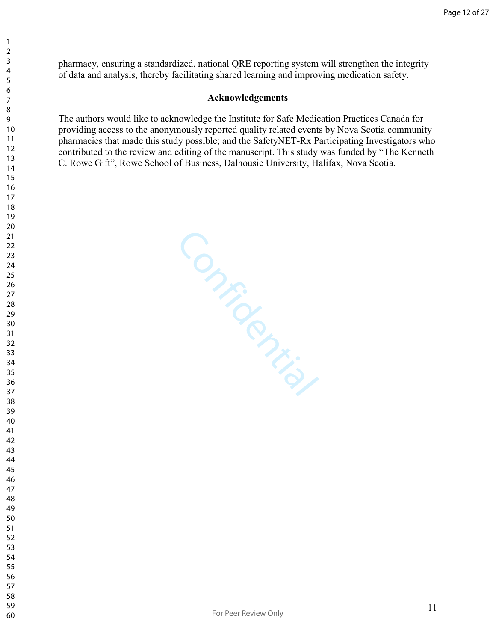pharmacy, ensuring a standardized, national QRE reporting system will strengthen the integrity of data and analysis, thereby facilitating shared learning and improving medication safety.

#### **Acknowledgements**

The authors would like to acknowledge the Institute for Safe Medication Practices Canada for providing access to the anonymously reported quality related events by Nova Scotia community pharmacies that made this study possible; and the SafetyNET-Rx Participating Investigators who contributed to the review and editing of the manuscript. This study was funded by "The Kenneth C. Rowe Gift", Rowe School of Business, Dalhousie University, Halifax, Nova Scotia.

Confidential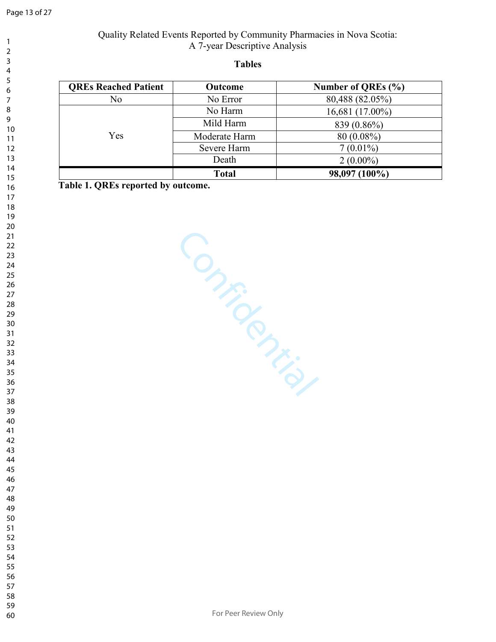#### **Tables**

| <b>OREs Reached Patient</b> | Outcome       | Number of QREs (%) |
|-----------------------------|---------------|--------------------|
| No                          | No Error      | 80,488 (82.05%)    |
|                             | No Harm       | 16,681 (17.00%)    |
|                             | Mild Harm     | 839 (0.86%)        |
| Yes                         | Moderate Harm | $80(0.08\%)$       |
|                             | Severe Harm   | $7(0.01\%)$        |
|                             | Death         | $2(0.00\%)$        |
|                             | <b>Total</b>  | 98,097 (100%)      |

**Table 1. QREs reported by outcome.**

Confidential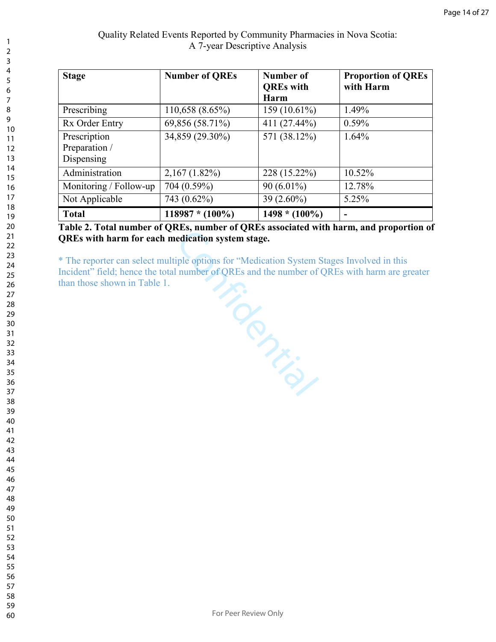| <b>Stage</b>                                | <b>Number of QREs</b> | Number of<br><b>QREs</b> with<br>Harm | <b>Proportion of QREs</b><br>with Harm |
|---------------------------------------------|-----------------------|---------------------------------------|----------------------------------------|
| Prescribing                                 | 110,658(8.65%)        | 159 (10.61%)                          | 1.49%                                  |
| Rx Order Entry                              | 69,856 (58.71%)       | 411 (27.44%)                          | $0.59\%$                               |
| Prescription<br>Preparation /<br>Dispensing | 34,859 (29.30%)       | 571 (38.12%)                          | 1.64%                                  |
| Administration                              | $2,167(1.82\%)$       | 228 (15.22%)                          | 10.52%                                 |
| Monitoring / Follow-up                      | 704 (0.59%)           | $90(6.01\%)$                          | 12.78%                                 |
| Not Applicable                              | 743 (0.62%)           | $39(2.60\%)$                          | 5.25%                                  |
| <b>Total</b>                                | $118987 * (100\%)$    | $1498 * (100\%)$                      |                                        |

**Table 2. Total number of QREs, number of QREs associated with harm, and proportion of QREs with harm for each medication system stage.** 

nultipic<br>total number of y. \* The reporter can select multiple options for "Medication System Stages Involved in this Incident" field; hence the total number of QREs and the number of QREs with harm are greater than those shown in Table 1.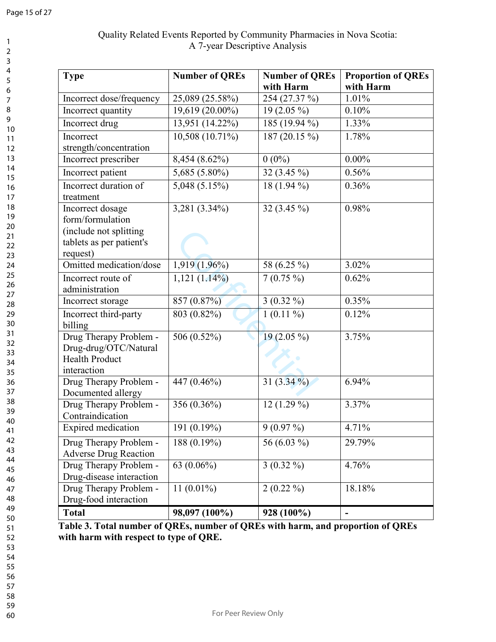# Quality Related Events Reported by Community Pharmacies in Nova Scotia: A 7-year Descriptive Analysis

| <b>Type</b>                                                                                            | <b>Number of QREs</b>        | <b>Number of QREs</b><br>with Harm | <b>Proportion of QREs</b><br>with Harm |
|--------------------------------------------------------------------------------------------------------|------------------------------|------------------------------------|----------------------------------------|
| Incorrect dose/frequency                                                                               | 25,089 (25.58%)              | 254 (27.37 %)                      | 1.01%                                  |
| Incorrect quantity                                                                                     | $\overline{19,619}$ (20.00%) | $\overline{19}$ (2.05 %)           | 0.10%                                  |
| Incorrect drug                                                                                         | 13,951 (14.22%)              | 185 (19.94 %)                      | 1.33%                                  |
| Incorrect<br>strength/concentration                                                                    | 10,508 (10.71%)              | 187 (20.15 %)                      | 1.78%                                  |
| Incorrect prescriber                                                                                   | 8,454 (8.62%)                | $0(0\%)$                           | $0.00\%$                               |
| Incorrect patient                                                                                      | 5,685 (5.80%)                | 32 (3.45 %)                        | 0.56%                                  |
| Incorrect duration of<br>treatment                                                                     | $5,048$ $(5.15\%)$           | $18(1.94\%)$                       | 0.36%                                  |
| Incorrect dosage<br>form/formulation<br>(include not splitting<br>tablets as per patient's<br>request) | 3,281 (3.34%)                | 32 $(3.45\%)$                      | 0.98%                                  |
| Omitted medication/dose                                                                                | $1,919(1.96\%)$              | 58 (6.25 %)                        | 3.02%                                  |
| Incorrect route of<br>administration                                                                   | $1,121(1.14\%)$              | $7(0.75\%)$                        | 0.62%                                  |
| Incorrect storage                                                                                      | 857 (0.87%)                  | $3(0.32\%)$                        | 0.35%                                  |
| Incorrect third-party<br>billing                                                                       | 803 (0.82%)                  | $1(0.11\%)$                        | 0.12%                                  |
| Drug Therapy Problem -<br>Drug-drug/OTC/Natural<br><b>Health Product</b><br>interaction                | 506 (0.52%)                  | $19(2.05\%)$                       | 3.75%                                  |
| Drug Therapy Problem -<br>Documented allergy                                                           | 447 (0.46%)                  | 31 $(3.34\frac{9}{0})$             | 6.94%                                  |
| Drug Therapy Problem -<br>Contraindication                                                             | 356 (0.36%)                  | 12 $(1.29\%)$                      | 3.37%                                  |
| Expired medication                                                                                     | 191 (0.19%)                  | $9(0.97\%)$                        | 4.71%                                  |
| Drug Therapy Problem -<br><b>Adverse Drug Reaction</b>                                                 | 188 (0.19%)                  | 56 (6.03 %)                        | 29.79%                                 |
| Drug Therapy Problem -<br>Drug-disease interaction                                                     | 63 $(0.06\%)$                | $3(0.32\%)$                        | 4.76%                                  |
| Drug Therapy Problem -<br>Drug-food interaction                                                        | 11 $(0.01\%)$                | $2(0.22\%)$                        | 18.18%                                 |
| <b>Total</b>                                                                                           | 98,097 (100%)                | 928 (100%)                         | $\overline{\phantom{0}}$               |

**Table 3. Total number of QREs, number of QREs with harm, and proportion of QREs with harm with respect to type of QRE.**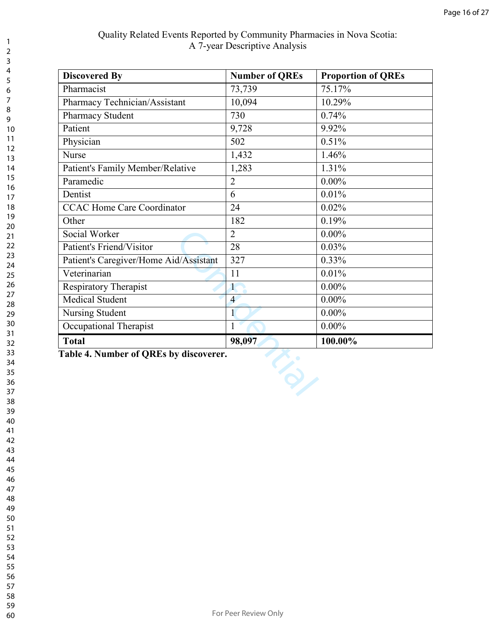| <b>Discovered By</b>                   | <b>Number of QREs</b> | <b>Proportion of QREs</b> |
|----------------------------------------|-----------------------|---------------------------|
| Pharmacist                             | 73,739                | 75.17%                    |
| Pharmacy Technician/Assistant          | 10,094                | 10.29%                    |
| Pharmacy Student                       | 730                   | 0.74%                     |
| Patient                                | 9,728                 | 9.92%                     |
| Physician                              | 502                   | 0.51%                     |
| Nurse                                  | 1,432                 | 1.46%                     |
| Patient's Family Member/Relative       | 1,283                 | 1.31%                     |
| Paramedic                              | $\overline{2}$        | $0.00\%$                  |
| Dentist                                | 6                     | 0.01%                     |
| <b>CCAC Home Care Coordinator</b>      | 24                    | 0.02%                     |
| Other                                  | 182                   | 0.19%                     |
| Social Worker                          | $\overline{2}$        | $0.00\%$                  |
| Patient's Friend/Visitor               | 28                    | 0.03%                     |
| Patient's Caregiver/Home Aid/Assistant | 327                   | 0.33%                     |
| Veterinarian                           | 11                    | 0.01%                     |
| <b>Respiratory Therapist</b>           | $\mathbf{1}$          | $0.00\%$                  |
| <b>Medical Student</b>                 | $\overline{4}$        | $0.00\%$                  |
| Nursing Student                        | $\mathbf{1}$          | $0.00\%$                  |
| Occupational Therapist                 | $\mathbf{1}$          | $0.00\%$                  |
| <b>Total</b>                           | 98,097                | 100.00%                   |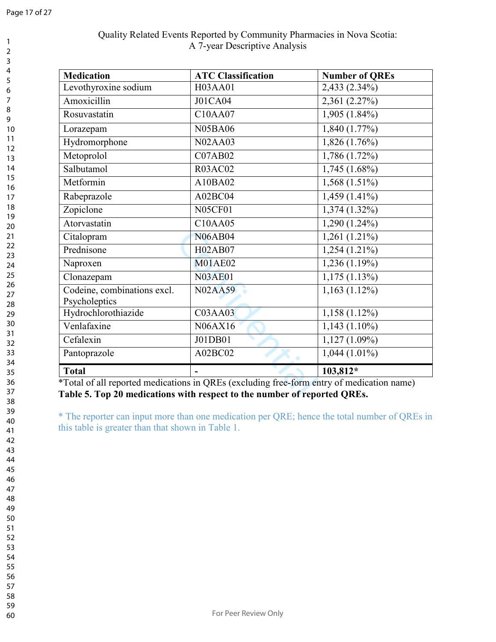# Quality Related Events Reported by Community Pharmacies in Nova Scotia: A 7-year Descriptive Analysis

| <b>Medication</b>           | <b>ATC Classification</b> | <b>Number of QREs</b> |
|-----------------------------|---------------------------|-----------------------|
| Levothyroxine sodium        | H03AA01                   | 2,433 (2.34%)         |
| Amoxicillin                 | <b>J01CA04</b>            | 2,361 (2.27%)         |
| Rosuvastatin                | C10AA07                   | 1,905 (1.84%)         |
| Lorazepam                   | <b>N05BA06</b>            | $1,840(1.77\%)$       |
| Hydromorphone               | <b>N02AA03</b>            | $1,826(1.76\%)$       |
| Metoprolol                  | <b>C07AB02</b>            | $1,786(1.72\%)$       |
| Salbutamol                  | <b>R03AC02</b>            | $1,745(1.68\%)$       |
| Metformin                   | A10BA02                   | $1,568(1.51\%)$       |
| Rabeprazole                 | A02BC04                   | $1,459(1.41\%)$       |
| Zopiclone                   | <b>N05CF01</b>            | $1,374(1.32\%)$       |
| Atorvastatin                | C10AA05                   | $1,290(1.24\%)$       |
| Citalopram                  | <b>N06AB04</b>            | $1,261$ $(1.21\%)$    |
| Prednisone                  | H02AB07                   | $1,254(1.21\%)$       |
| Naproxen                    | <b>M01AE02</b>            | 1,236 (1.19%)         |
| Clonazepam                  | <b>N03AE01</b>            | $1,175(1.13\%)$       |
| Codeine, combinations excl. | <b>N02AA59</b>            | $1,163(1.12\%)$       |
| Psycholeptics               |                           |                       |
| Hydrochlorothiazide         | <b>C03AA03</b>            | $1,158(1.12\%)$       |
| Venlafaxine                 | N06AX16                   | $1,143(1.10\%)$       |
| Cefalexin                   | J01DB01                   | $1,127(1.09\%)$       |
| Pantoprazole                | A02BC02                   | $1,044(1.01\%)$       |
| <b>Total</b>                |                           | 103,812*              |

\*Total of all reported medications in QREs (excluding free-form entry of medication name) **Table 5. Top 20 medications with respect to the number of reported QREs.**

\* The reporter can input more than one medication per QRE; hence the total number of QREs in this table is greater than that shown in Table 1.

- 
- 
- 
- 
-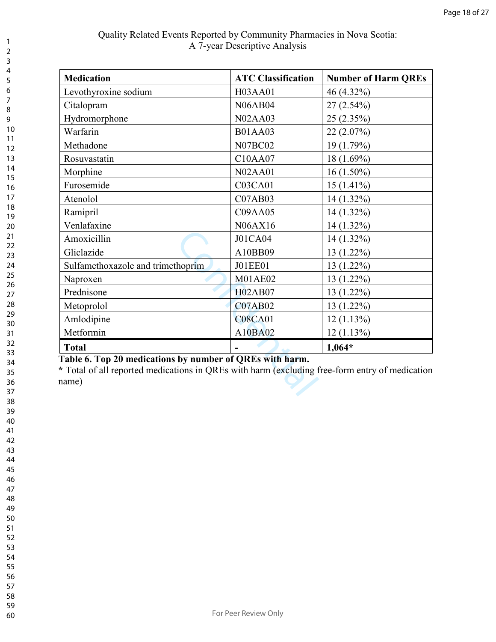| <b>Medication</b>                                                                                                                                                   | <b>ATC Classification</b> | <b>Number of Harm QREs</b> |
|---------------------------------------------------------------------------------------------------------------------------------------------------------------------|---------------------------|----------------------------|
| Levothyroxine sodium                                                                                                                                                | H03AA01                   | 46 (4.32%)                 |
| Citalopram                                                                                                                                                          | <b>N06AB04</b>            | $27(2.54\%)$               |
| Hydromorphone                                                                                                                                                       | <b>N02AA03</b>            | 25(2.35%)                  |
| Warfarin                                                                                                                                                            | <b>B01AA03</b>            | 22(2.07%)                  |
| Methadone                                                                                                                                                           | <b>N07BC02</b>            | 19 (1.79%)                 |
| Rosuvastatin                                                                                                                                                        | C10AA07                   | 18 (1.69%)                 |
| Morphine                                                                                                                                                            | <b>N02AA01</b>            | $16(1.50\%)$               |
| Furosemide                                                                                                                                                          | <b>C03CA01</b>            | $15(1.41\%)$               |
| Atenolol                                                                                                                                                            | <b>C07AB03</b>            | $14(1.32\%)$               |
| Ramipril                                                                                                                                                            | <b>C09AA05</b>            | $14(1.32\%)$               |
| Venlafaxine                                                                                                                                                         | N06AX16                   | $14(1.32\%)$               |
| Amoxicillin                                                                                                                                                         | J01CA04                   | $14(1.32\%)$               |
| Gliclazide                                                                                                                                                          | A10BB09                   | $13(1.22\%)$               |
| Sulfamethoxazole and trimethoprim                                                                                                                                   | <b>J01EE01</b>            | $13(1.22\%)$               |
| Naproxen                                                                                                                                                            | <b>M01AE02</b>            | $13(1.22\%)$               |
| Prednisone                                                                                                                                                          | <b>H02AB07</b>            | $13(1.22\%)$               |
| Metoprolol                                                                                                                                                          | <b>C07AB02</b>            | $13(1.22\%)$               |
| Amlodipine                                                                                                                                                          | <b>C08CA01</b>            | 12(1.13%)                  |
| Metformin                                                                                                                                                           | A10BA02                   | 12(1.13%)                  |
| <b>Total</b>                                                                                                                                                        |                           | $1,064*$                   |
| Table 6. Top 20 medications by number of QREs with harm.<br>* Total of all reported medications in QREs with harm (excluding free-form entry of medication<br>name) |                           |                            |

## **Table 6. Top 20 medications by number of QREs with harm.**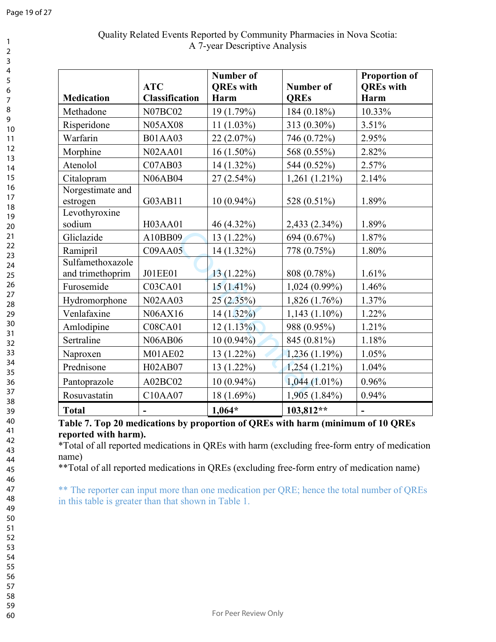| <b>Medication</b>                    | <b>ATC</b><br><b>Classification</b> | <b>Number of</b><br><b>OREs</b> with<br>Harm | <b>Number of</b><br><b>QREs</b> | <b>Proportion of</b><br><b>QREs</b> with<br>Harm |
|--------------------------------------|-------------------------------------|----------------------------------------------|---------------------------------|--------------------------------------------------|
| Methadone                            | <b>N07BC02</b>                      | 19 (1.79%)                                   | 184 (0.18%)                     | 10.33%                                           |
| Risperidone                          | <b>N05AX08</b>                      | $11(1.03\%)$                                 | 313 (0.30%)                     | 3.51%                                            |
| Warfarin                             | <b>B01AA03</b>                      | 22(2.07%)                                    | 746 (0.72%)                     | 2.95%                                            |
| Morphine                             | <b>N02AA01</b>                      | $16(1.50\%)$                                 | 568 (0.55%)                     | 2.82%                                            |
| Atenolol                             | <b>C07AB03</b>                      | 14 (1.32%)                                   | 544 (0.52%)                     | 2.57%                                            |
| Citalopram                           | <b>N06AB04</b>                      | $27(2.54\%)$                                 | $1,261(1.21\%)$                 | 2.14%                                            |
| Norgestimate and<br>estrogen         | G03AB11                             | $10(0.94\%)$                                 | 528 (0.51%)                     | 1.89%                                            |
| Levothyroxine<br>sodium              | H03AA01                             | 46 (4.32%)                                   | 2,433 (2.34%)                   | 1.89%                                            |
| Gliclazide                           | A10BB09                             | 13 (1.22%)                                   | 694 (0.67%)                     | 1.87%                                            |
| Ramipril                             | C09AA05                             | 14 (1.32%)                                   | 778 (0.75%)                     | 1.80%                                            |
| Sulfamethoxazole<br>and trimethoprim | <b>J01EE01</b>                      | 13 (1.22%)                                   | 808 (0.78%)                     | 1.61%                                            |
| Furosemide                           | <b>C03CA01</b>                      | $15(1.41\%)$                                 | $1,024(0.99\%)$                 | 1.46%                                            |
| Hydromorphone                        | <b>N02AA03</b>                      | 25(2.35%)                                    | 1,826 (1.76%)                   | 1.37%                                            |
| Venlafaxine                          | N06AX16                             | $14(1.32\%)$                                 | $1,143(1.10\%)$                 | 1.22%                                            |
| Amlodipine                           | <b>C08CA01</b>                      | 12(1.13%)                                    | 988 (0.95%)                     | 1.21%                                            |
| Sertraline                           | <b>N06AB06</b>                      | $10(0.94\%)$                                 | 845 (0.81%)                     | 1.18%                                            |
| Naproxen                             | <b>M01AE02</b>                      | 13 (1.22%)                                   | 1,236(1.19%)                    | 1.05%                                            |
| Prednisone                           | H02AB07                             | 13 (1.22%)                                   | $1,254(1.21\%)$                 | 1.04%                                            |
| Pantoprazole                         | A02BC02                             | $10(0.94\%)$                                 | $1,044(1.01\%)$                 | 0.96%                                            |
| Rosuvastatin                         | C10AA07                             | 18 (1.69%)                                   | 1,905 (1.84%)                   | 0.94%                                            |
| <b>Total</b>                         |                                     | $1,064*$                                     | 103,812**                       | $\blacksquare$                                   |

**Table 7. Top 20 medications by proportion of QREs with harm (minimum of 10 QREs reported with harm).** 

\*Total of all reported medications in QREs with harm (excluding free-form entry of medication name)

\*\*Total of all reported medications in QREs (excluding free-form entry of medication name)

\*\* The reporter can input more than one medication per QRE; hence the total number of QREs in this table is greater than that shown in Table 1.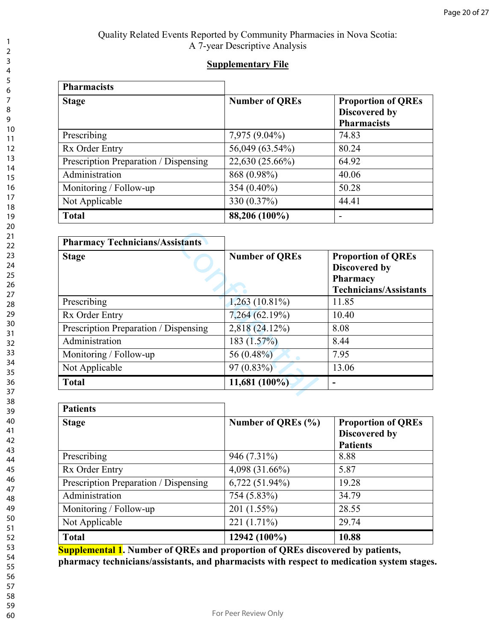## **Supplementary File**

| <b>Pharmacists</b>                    |                       |                                                                  |
|---------------------------------------|-----------------------|------------------------------------------------------------------|
| <b>Stage</b>                          | <b>Number of QREs</b> | <b>Proportion of QREs</b><br>Discovered by<br><b>Pharmacists</b> |
| Prescribing                           | 7,975 (9.04%)         | 74.83                                                            |
| Rx Order Entry                        | 56,049 (63.54%)       | 80.24                                                            |
| Prescription Preparation / Dispensing | 22,630 (25.66%)       | 64.92                                                            |
| Administration                        | 868 (0.98%)           | 40.06                                                            |
| Monitoring / Follow-up                | 354 (0.40%)           | 50.28                                                            |
| Not Applicable                        | 330 (0.37%)           | 44.41                                                            |
| <b>Total</b>                          | 88,206 (100%)         |                                                                  |

| <b>Pharmacy Technicians/Assistants</b> |                       |                                                                                                |
|----------------------------------------|-----------------------|------------------------------------------------------------------------------------------------|
| <b>Stage</b>                           | <b>Number of QREs</b> | <b>Proportion of QREs</b><br>Discovered by<br><b>Pharmacy</b><br><b>Technicians/Assistants</b> |
| Prescribing                            | $1,263(10.81\%)$      | 11.85                                                                                          |
| Rx Order Entry                         | 7,264 (62.19%)        | 10.40                                                                                          |
| Prescription Preparation / Dispensing  | 2,818 (24.12%)        | 8.08                                                                                           |
| Administration                         | 183 $(1.57\%)$        | 8.44                                                                                           |
| Monitoring / Follow-up                 | 56 (0.48%)            | 7.95                                                                                           |
| Not Applicable                         | 97(0.83%)             | 13.06                                                                                          |
| <b>Total</b>                           | $11,681(100\%)$       |                                                                                                |

| <b>Patients</b>                       |                    |                                                                      |  |
|---------------------------------------|--------------------|----------------------------------------------------------------------|--|
| <b>Stage</b>                          | Number of QREs (%) | <b>Proportion of QREs</b><br><b>Discovered by</b><br><b>Patients</b> |  |
| Prescribing                           | 946 (7.31%)        | 8.88                                                                 |  |
| Rx Order Entry                        | 4,098 (31.66%)     | 5.87                                                                 |  |
| Prescription Preparation / Dispensing | $6,722(51.94\%)$   | 19.28                                                                |  |
| Administration                        | 754 (5.83%)        | 34.79                                                                |  |
| Monitoring / Follow-up                | 201 (1.55%)        | 28.55                                                                |  |
| Not Applicable                        | 221 (1.71%)        | 29.74                                                                |  |
| <b>Total</b>                          | 12942 (100%)       | 10.88                                                                |  |

**Supplemental 1. Number of QREs and proportion of QREs discovered by patients, pharmacy technicians/assistants, and pharmacists with respect to medication system stages.**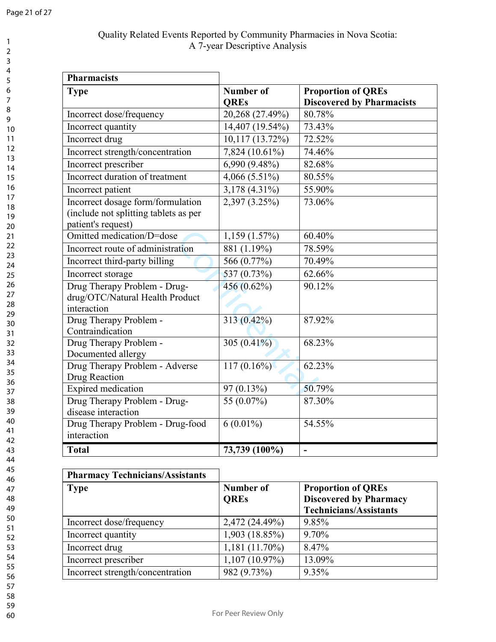# Quality Related Events Reported by Community Pharmacies in Nova Scotia: A 7-year Descriptive Analysis

| <b>Pharmacists</b>                                                                               |                                 |                                                               |
|--------------------------------------------------------------------------------------------------|---------------------------------|---------------------------------------------------------------|
| <b>Type</b>                                                                                      | <b>Number of</b><br><b>QREs</b> | <b>Proportion of QREs</b><br><b>Discovered by Pharmacists</b> |
| Incorrect dose/frequency                                                                         | 20,268 (27.49%)                 | 80.78%                                                        |
| Incorrect quantity                                                                               | 14,407 (19.54%)                 | 73.43%                                                        |
| Incorrect drug                                                                                   | 10,117 (13.72%)                 | 72.52%                                                        |
| Incorrect strength/concentration                                                                 | 7,824 (10.61%)                  | 74.46%                                                        |
| Incorrect prescriber                                                                             | 6,990 (9.48%)                   | 82.68%                                                        |
| Incorrect duration of treatment                                                                  | 4,066 $(5.51\%)$                | 80.55%                                                        |
| Incorrect patient                                                                                | 3,178 (4.31%)                   | 55.90%                                                        |
| Incorrect dosage form/formulation<br>(include not splitting tablets as per<br>patient's request) | 2,397(3.25%)                    | 73.06%                                                        |
| Omitted medication/D=dose                                                                        | 1,159(1.57%)                    | 60.40%                                                        |
| Incorrect route of administration                                                                | 881 (1.19%)                     | 78.59%                                                        |
| Incorrect third-party billing                                                                    | 566(0.77%)                      | 70.49%                                                        |
| Incorrect storage                                                                                | 537 (0.73%)                     | 62.66%                                                        |
| Drug Therapy Problem - Drug-<br>drug/OTC/Natural Health Product<br>interaction                   | 456 (0.62%)                     | 90.12%                                                        |
| Drug Therapy Problem -<br>Contraindication                                                       | $313(0.42\%)$                   | 87.92%                                                        |
| Drug Therapy Problem -<br>Documented allergy                                                     | 305 $\overline{(0.41\%)}$       | 68.23%                                                        |
| Drug Therapy Problem - Adverse<br>Drug Reaction                                                  | $117(0.16\%)$                   | 62.23%                                                        |
| Expired medication                                                                               | 97 (0.13%)                      | 50.79%                                                        |
| Drug Therapy Problem - Drug-<br>disease interaction                                              | 55 (0.07%)                      | 87.30%                                                        |
| Drug Therapy Problem - Drug-food<br>interaction                                                  | $6(0.01\%)$                     | 54.55%                                                        |
| <b>Total</b>                                                                                     | 73,739 (100%)                   | $\blacksquare$                                                |

| <b>Pharmacy Technicians/Assistants</b> |                          |                                                                                             |
|----------------------------------------|--------------------------|---------------------------------------------------------------------------------------------|
| <b>Type</b>                            | Number of<br><b>OREs</b> | <b>Proportion of QREs</b><br><b>Discovered by Pharmacy</b><br><b>Technicians/Assistants</b> |
| Incorrect dose/frequency               | 2,472 (24.49%)           | 9.85%                                                                                       |
| Incorrect quantity                     | 1,903 (18.85%)           | 9.70%                                                                                       |
| Incorrect drug                         | $1,181(11.70\%)$         | 8.47%                                                                                       |
| Incorrect prescriber                   | $1,107(10.97\%)$         | 13.09%                                                                                      |
| Incorrect strength/concentration       | 982 (9.73%)              | 9.35%                                                                                       |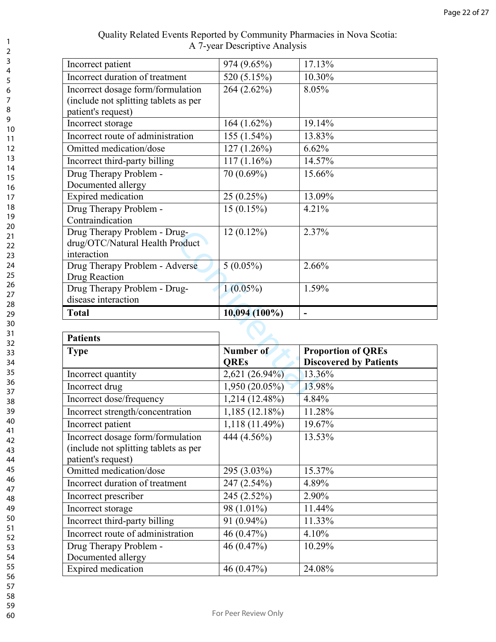| Incorrect quantity<br>Incorrect drug                                       | 2,621 (26.94%)<br>1,950 (20.05%) | 13.36%<br>13.98%                                           |
|----------------------------------------------------------------------------|----------------------------------|------------------------------------------------------------|
| <b>Type</b>                                                                | Number of<br><b>OREs</b>         | <b>Proportion of QREs</b><br><b>Discovered by Patients</b> |
| <b>Patients</b>                                                            |                                  |                                                            |
|                                                                            |                                  |                                                            |
| <b>Total</b>                                                               | 10,094 (100%)                    |                                                            |
| disease interaction                                                        |                                  |                                                            |
| Drug Therapy Problem - Drug-                                               | $1(0.05\%)$                      | 1.59%                                                      |
| Drug Reaction                                                              |                                  |                                                            |
| Drug Therapy Problem - Adverse                                             | $5(0.05\%)$                      | 2.66%                                                      |
| interaction                                                                |                                  |                                                            |
| Drug Therapy Problem - Drug-<br>drug/OTC/Natural Health Product            | $12(0.12\%)$                     |                                                            |
| Contraindication                                                           |                                  | 2.37%                                                      |
| Drug Therapy Problem -                                                     | $15(0.15\%)$                     | 4.21%                                                      |
| Expired medication                                                         | 25(0.25%)                        | 13.09%                                                     |
| Documented allergy                                                         |                                  |                                                            |
| Drug Therapy Problem -                                                     | 70 (0.69%)                       | 15.66%                                                     |
| Incorrect third-party billing                                              | $117(1.16\%)$                    | 14.57%                                                     |
| Omitted medication/dose                                                    | $127(1.26\%)$                    | 6.62%                                                      |
| Incorrect route of administration                                          | 155 (1.54%)                      | 13.83%                                                     |
| Incorrect storage                                                          | 164 (1.62%)                      | 19.14%                                                     |
| patient's request)                                                         |                                  |                                                            |
| Incorrect dosage form/formulation<br>(include not splitting tablets as per | 264 (2.62%)                      | 8.05%                                                      |
| Incorrect duration of treatment                                            | 520 (5.15%)                      | 10.30%                                                     |
| Incorrect patient                                                          | 974 (9.65%)                      | 17.13%                                                     |

| <b>Patients</b>                                                                                  |                          |                                                            |  |  |
|--------------------------------------------------------------------------------------------------|--------------------------|------------------------------------------------------------|--|--|
| <b>Type</b>                                                                                      | Number of<br><b>QREs</b> | <b>Proportion of QREs</b><br><b>Discovered by Patients</b> |  |  |
| Incorrect quantity                                                                               | 2,621 (26.94%)           | 13.36%                                                     |  |  |
| Incorrect drug                                                                                   | $1,950(20.05\%)$         | 13.98%                                                     |  |  |
| Incorrect dose/frequency                                                                         | 1,214 (12.48%)           | 4.84%                                                      |  |  |
| Incorrect strength/concentration                                                                 | $1,185(12.18\%)$         | 11.28%                                                     |  |  |
| Incorrect patient                                                                                | $1,118(11.49\%)$         | 19.67%                                                     |  |  |
| Incorrect dosage form/formulation<br>(include not splitting tablets as per<br>patient's request) | 444 (4.56%)              | 13.53%                                                     |  |  |
| Omitted medication/dose                                                                          | 295 (3.03%)              | 15.37%                                                     |  |  |
| Incorrect duration of treatment                                                                  | 247 (2.54%)              | 4.89%                                                      |  |  |
| Incorrect prescriber                                                                             | 245 (2.52%)              | 2.90%                                                      |  |  |
| Incorrect storage                                                                                | 98 (1.01%)               | 11.44%                                                     |  |  |
| Incorrect third-party billing                                                                    | 91 (0.94%)               | 11.33%                                                     |  |  |
| Incorrect route of administration                                                                | 46 $(0.47\%)$            | 4.10%                                                      |  |  |
| Drug Therapy Problem -<br>Documented allergy                                                     | 46(0.47%)                | 10.29%                                                     |  |  |
| Expired medication                                                                               | 46 $(0.47\%)$            | 24.08%                                                     |  |  |

123456789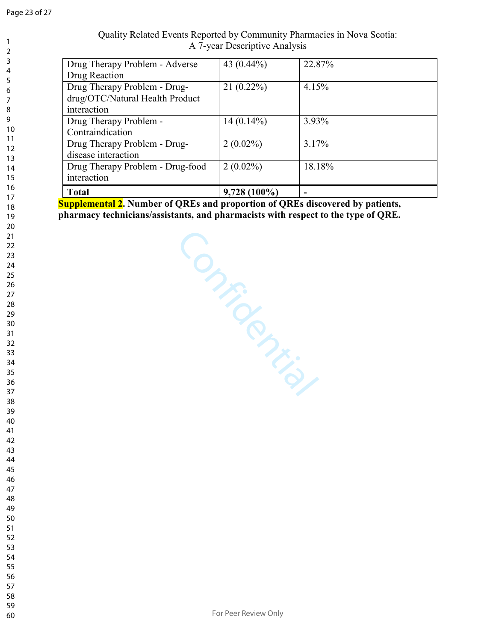|          |                                  | A 7-year Descriptive Analysis |        |
|----------|----------------------------------|-------------------------------|--------|
| 2        |                                  |                               |        |
| 3        | Drug Therapy Problem - Adverse   | 43 $(0.44\%)$                 | 22.87% |
| 4<br>5   | Drug Reaction                    |                               |        |
| 6        | Drug Therapy Problem - Drug-     | $21(0.22\%)$                  | 4.15%  |
| 7        | drug/OTC/Natural Health Product  |                               |        |
| 8        | interaction                      |                               |        |
| 9        | Drug Therapy Problem -           | $14(0.14\%)$                  | 3.93%  |
| 10       | Contraindication                 |                               |        |
| 11<br>12 | Drug Therapy Problem - Drug-     | $2(0.02\%)$                   | 3.17%  |
| 13       | disease interaction              |                               |        |
| 14       | Drug Therapy Problem - Drug-food | $2(0.02\%)$                   | 18.18% |
| 15       | interaction                      |                               |        |
| 16<br>17 | <b>Total</b>                     | $9,728(100\%)$                | ۰      |
|          |                                  |                               |        |

# Quality Related Events Reported by Community Pharmacies in Nova Scotia:

**Supplemental 2. Number of QREs and proportion of QREs discovered by patients, pharmacy technicians/assistants, and pharmacists with respect to the type of QRE.** 

Confidential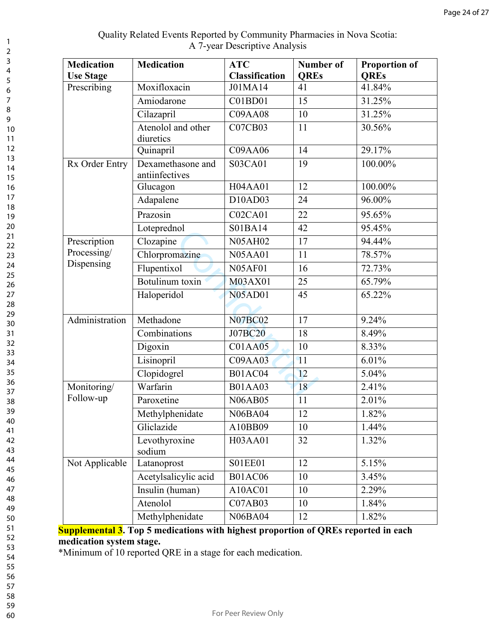| Quality Related Events Reported by Community Pharmacies in Nova Scotia: |
|-------------------------------------------------------------------------|
| A 7-year Descriptive Analysis                                           |

| <b>Medication</b><br><b>Use Stage</b> | <b>Medication</b>                   | <b>ATC</b><br><b>Classification</b> | Number of<br><b>QREs</b> | <b>Proportion of</b><br><b>QREs</b> |
|---------------------------------------|-------------------------------------|-------------------------------------|--------------------------|-------------------------------------|
| Prescribing                           | Moxifloxacin                        | J01MA14                             | 41                       | 41.84%                              |
|                                       | Amiodarone                          | C01BD01                             | 15                       | 31.25%                              |
|                                       | Cilazapril                          | <b>C09AA08</b>                      | 10                       | 31.25%                              |
|                                       | Atenolol and other<br>diuretics     | <b>C07CB03</b>                      | 11                       | 30.56%                              |
|                                       | Quinapril                           | C09AA06                             | 14                       | 29.17%                              |
| Rx Order Entry                        | Dexamethasone and<br>antiinfectives | S03CA01                             | 19                       | 100.00%                             |
|                                       | Glucagon                            | H04AA01                             | 12                       | 100.00%                             |
|                                       | Adapalene                           | D10AD03                             | 24                       | 96.00%                              |
|                                       | Prazosin                            | <b>C02CA01</b>                      | 22                       | 95.65%                              |
|                                       | Loteprednol                         | S01BA14                             | 42                       | 95.45%                              |
| Prescription                          | Clozapine                           | <b>N05AH02</b>                      | 17                       | 94.44%                              |
| Processing/                           | Chlorpromazine                      | <b>N05AA01</b>                      | 11                       | 78.57%                              |
| Dispensing                            | Flupentixol                         | <b>N05AF01</b>                      | 16                       | 72.73%                              |
|                                       | Botulinum toxin                     | M03AX01                             | 25                       | 65.79%                              |
|                                       | Haloperidol                         | <b>N05AD01</b>                      | 45                       | 65.22%                              |
| Administration                        | Methadone                           | <b>N07BC02</b>                      | 17                       | 9.24%                               |
|                                       | Combinations                        | <b>J07BC20</b>                      | 18                       | 8.49%                               |
|                                       | Digoxin                             | C01AA05                             | 10                       | 8.33%                               |
|                                       | Lisinopril                          | <b>C09AA03</b>                      | 11                       | 6.01%                               |
|                                       | Clopidogrel                         | <b>B01AC04</b>                      | 12                       | 5.04%                               |
| Monitoring/                           | Warfarin                            | <b>B01AA03</b>                      | 18                       | 2.41%                               |
| Follow-up                             | Paroxetine                          | <b>N06AB05</b>                      | 11                       | 2.01%                               |
|                                       | Methylphenidate                     | <b>N06BA04</b>                      | 12                       | 1.82%                               |
|                                       | Gliclazide                          | A10BB09                             | 10                       | 1.44%                               |
|                                       | Levothyroxine<br>sodium             | H03AA01                             | 32                       | 1.32%                               |
| Not Applicable                        | Latanoprost                         | <b>S01EE01</b>                      | 12                       | $5.15\%$                            |
|                                       | Acetylsalicylic acid                | <b>B01AC06</b>                      | 10                       | 3.45%                               |
|                                       | Insulin (human)                     | A10AC01                             | 10                       | 2.29%                               |
|                                       | Atenolol                            | C07AB03                             | 10                       | 1.84%                               |
|                                       | Methylphenidate                     | <b>N06BA04</b>                      | 12                       | 1.82%                               |

**Supplemental 3. Top 5 medications with highest proportion of QREs reported in each medication system stage.** 

\*Minimum of 10 reported QRE in a stage for each medication.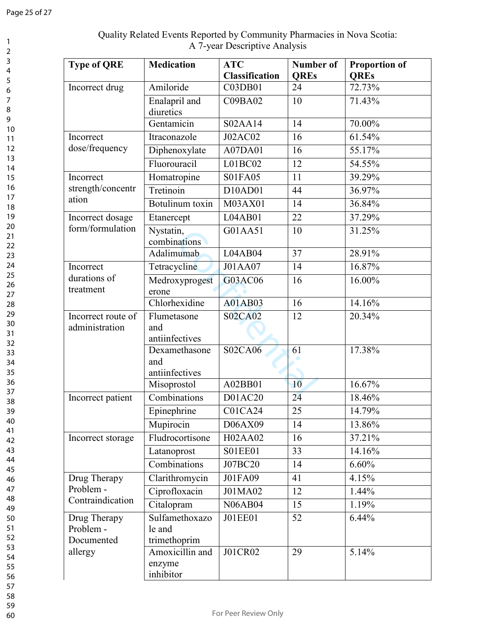| <b>Type of QRE</b>                      | <b>Medication</b>                        | <b>ATC</b><br><b>Classification</b> | <b>Number of</b><br><b>QREs</b> | <b>Proportion of</b><br><b>OREs</b> |
|-----------------------------------------|------------------------------------------|-------------------------------------|---------------------------------|-------------------------------------|
| Incorrect drug                          | Amiloride                                | C03DB01                             | 24                              | 72.73%                              |
|                                         | Enalapril and<br>diuretics               | C09BA02                             | 10                              | 71.43%                              |
|                                         | Gentamicin                               | S02AA14                             | 14                              | 70.00%                              |
| Incorrect                               | Itraconazole                             | <b>J02AC02</b>                      | 16                              | 61.54%                              |
| dose/frequency                          | Diphenoxylate                            | A07DA01                             | 16                              | 55.17%                              |
|                                         | Fluorouracil                             | L01BC02                             | 12                              | 54.55%                              |
| Incorrect                               | Homatropine                              | S01FA05                             | 11                              | 39.29%                              |
| strength/concentr                       | Tretinoin                                | D10AD01                             | 44                              | 36.97%                              |
| ation                                   | Botulinum toxin                          | M03AX01                             | 14                              | 36.84%                              |
| Incorrect dosage                        | Etanercept                               | L04AB01                             | 22                              | 37.29%                              |
| form/formulation                        | Nystatin,<br>combinations                | G01AA51                             | 10                              | 31.25%                              |
|                                         | Adalimumab                               | L04AB04                             | $\overline{37}$                 | 28.91%                              |
| Incorrect                               | Tetracycline                             | J01AA07                             | 14                              | 16.87%                              |
| durations of<br>treatment               | Medroxyprogest<br>erone                  | G03AC06                             | 16                              | 16.00%                              |
|                                         | Chlorhexidine                            | A01AB03                             | 16                              | 14.16%                              |
| Incorrect route of<br>administration    | Flumetasone<br>and<br>antiinfectives     | <b>S02CA02</b>                      | 12                              | 20.34%                              |
|                                         | Dexamethasone<br>and<br>antiinfectives   | <b>S02CA06</b>                      | 61                              | 17.38%                              |
|                                         | Misoprostol                              | A02BB01                             | 10                              | 16.67%                              |
| Incorrect patient                       | Combinations                             | D01AC20                             | 24                              | 18.46%                              |
|                                         | Epinephrine                              | C01CA24                             | $\overline{25}$                 | 14.79%                              |
|                                         | Mupirocin                                | D06AX09                             | 14                              | 13.86%                              |
| Incorrect storage                       | Fludrocortisone                          | H02AA02                             | 16                              | 37.21%                              |
|                                         | Latanoprost                              | <b>S01EE01</b>                      | 33                              | 14.16%                              |
|                                         | Combinations                             | J07BC20                             | 14                              | 6.60%                               |
| Drug Therapy                            | Clarithromycin                           | J01FA09                             | 41                              | 4.15%                               |
| Problem -                               | Ciprofloxacin                            | J01MA02                             | 12                              | 1.44%                               |
| Contraindication                        | Citalopram                               | <b>N06AB04</b>                      | 15                              | 1.19%                               |
| Drug Therapy<br>Problem -<br>Documented | Sulfamethoxazo<br>le and<br>trimethoprim | J01EE01                             | 52                              | 6.44%                               |
| allergy                                 | Amoxicillin and<br>enzyme<br>inhibitor   | J01CR02                             | 29                              | 5.14%                               |

## Quality Related Events Reported by Community Pharmacies in Nova Scotia: A 7-year Descriptive Analysis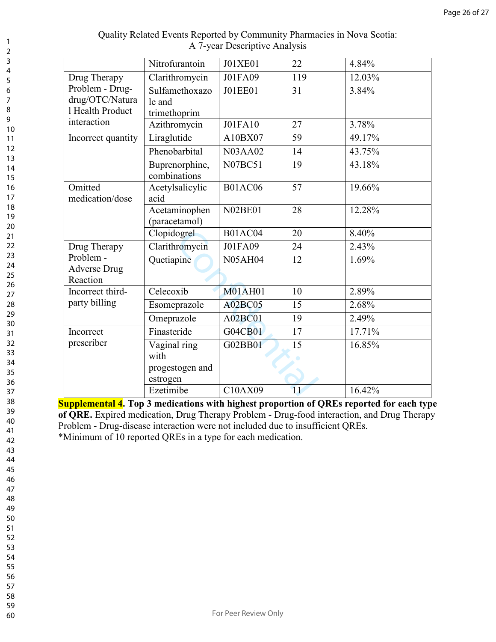|                                                        | Nitrofurantoin                                                    | J01XE01        | 22              | 4.84%     |
|--------------------------------------------------------|-------------------------------------------------------------------|----------------|-----------------|-----------|
| Drug Therapy                                           | Clarithromycin                                                    | J01FA09        | 119             | 12.03%    |
| Problem - Drug-<br>drug/OTC/Natura<br>1 Health Product | Sulfamethoxazo<br>le and<br>trimethoprim                          | <b>J01EE01</b> | 31              | 3.84%     |
| interaction                                            | Azithromycin                                                      | <b>J01FA10</b> | 27              | 3.78%     |
| Incorrect quantity                                     | Liraglutide                                                       | A10BX07        | 59              | 49.17%    |
|                                                        | Phenobarbital                                                     | <b>N03AA02</b> | 14              | 43.75%    |
|                                                        | Buprenorphine,<br>combinations                                    | <b>N07BC51</b> | 19              | 43.18%    |
| Omitted<br>medication/dose                             | Acetylsalicylic<br>acid                                           | <b>B01AC06</b> | 57              | $19.66\%$ |
|                                                        | Acetaminophen<br>(paracetamol)                                    | <b>N02BE01</b> | 28              | $12.28\%$ |
|                                                        | Clopidogrel                                                       | <b>B01AC04</b> | 20              | 8.40%     |
| Drug Therapy                                           | Clarithromycin                                                    | J01FA09        | 24              | 2.43%     |
| Problem -<br><b>Adverse Drug</b><br>Reaction           | Quetiapine                                                        | <b>N05AH04</b> | $\overline{12}$ | 1.69%     |
| Incorrect third-                                       | Celecoxib                                                         | <b>M01AH01</b> | 10              | 2.89%     |
| party billing                                          | Esomeprazole                                                      | <b>A02BC05</b> | 15              | 2.68%     |
|                                                        | Omeprazole                                                        | A02BC01        | 19              | 2.49%     |
| Incorrect                                              | Finasteride                                                       | G04CB01        | 17              | 17.71%    |
| prescriber                                             | $\overline{V}$ aginal ring<br>with<br>progestogen and<br>estrogen | G02BB01        | 15              | 16.85%    |
|                                                        | Ezetimibe                                                         | C10AX09        | 11              | 16.42%    |

**Supplemental 4. Top 3 medications with highest proportion of QREs reported for each type of QRE.** Expired medication, Drug Therapy Problem - Drug-food interaction, and Drug Therapy Problem - Drug-disease interaction were not included due to insufficient QREs. \*Minimum of 10 reported QREs in a type for each medication.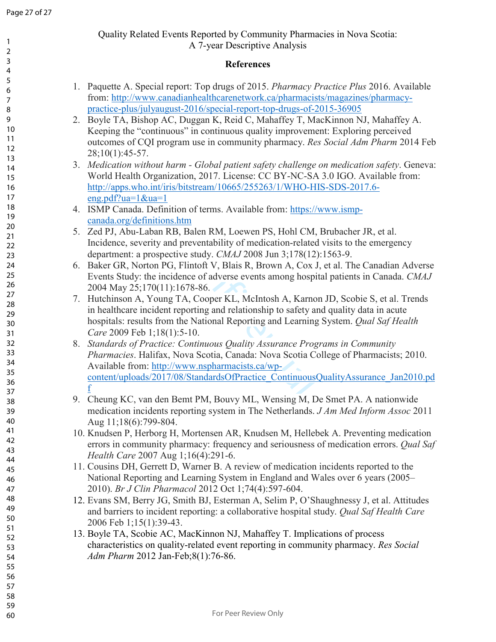## Quality Related Events Reported by Community Pharmacies in Nova Scotia: A 7-year Descriptive Analysis

#### **References**

- 1. Paquette A. Special report: Top drugs of 2015. *Pharmacy Practice Plus* 2016. Available from: http://www.canadianhealthcarenetwork.ca/pharmacists/magazines/pharmacypractice-plus/julyaugust-2016/special-report-top-drugs-of-2015-36905
- 2. Boyle TA, Bishop AC, Duggan K, Reid C, Mahaffey T, MacKinnon NJ, Mahaffey A. Keeping the "continuous" in continuous quality improvement: Exploring perceived outcomes of CQI program use in community pharmacy. *Res Social Adm Pharm* 2014 Feb 28;10(1):45-57.
- 3. *Medication without harm Global patient safety challenge on medication safety*. Geneva: World Health Organization, 2017. License: CC BY-NC-SA 3.0 IGO. Available from: http://apps.who.int/iris/bitstream/10665/255263/1/WHO-HIS-SDS-2017.6 eng.pdf?ua=1&ua=1
- 4. ISMP Canada. Definition of terms. Available from: https://www.ismpcanada.org/definitions.htm
- 5. Zed PJ, Abu-Laban RB, Balen RM, Loewen PS, Hohl CM, Brubacher JR, et al. Incidence, severity and preventability of medication-related visits to the emergency department: a prospective study. *CMAJ* 2008 Jun 3;178(12):1563-9.
- 6. Baker GR, Norton PG, Flintoft V, Blais R, Brown A, Cox J, et al. The Canadian Adverse Events Study: the incidence of adverse events among hospital patients in Canada. *CMAJ* 2004 May 25;170(11):1678-86.
- 7. Hutchinson A, Young TA, Cooper KL, McIntosh A, Karnon JD, Scobie S, et al. Trends in healthcare incident reporting and relationship to safety and quality data in acute hospitals: results from the National Reporting and Learning System. *Qual Saf Health Care* 2009 Feb 1;18(1):5-10.
- B. Balen RM, Loewen PS, Hohl CM,<br>
preventability of medication-related<br>
ive study. *CMAJ* 2008 Jun 3;178(12)<br>
Flintoft V, Blais R, Brown A, Cox J<br>
lence of adverse events among hospit<br>
1678-86.<br>
TA, Cooper KL, McIntosh A, 8. *Standards of Practice: Continuous Quality Assurance Programs in Community Pharmacies*. Halifax, Nova Scotia, Canada: Nova Scotia College of Pharmacists; 2010. Available from: http://www.nspharmacists.ca/wpcontent/uploads/2017/08/StandardsOfPractice\_ContinuousQualityAssurance\_Jan2010.pd f
- 9. Cheung KC, van den Bemt PM, Bouvy ML, Wensing M, De Smet PA. A nationwide medication incidents reporting system in The Netherlands. *J Am Med Inform Assoc* 2011 Aug 11;18(6):799-804.
- 10. Knudsen P, Herborg H, Mortensen AR, Knudsen M, Hellebek A. Preventing medication errors in community pharmacy: frequency and seriousness of medication errors. *Qual Saf Health Care* 2007 Aug 1;16(4):291-6.
- 11. Cousins DH, Gerrett D, Warner B. A review of medication incidents reported to the National Reporting and Learning System in England and Wales over 6 years (2005– 2010). *Br J Clin Pharmacol* 2012 Oct 1;74(4):597-604.
- 12. Evans SM, Berry JG, Smith BJ, Esterman A, Selim P, O'Shaughnessy J, et al. Attitudes and barriers to incident reporting: a collaborative hospital study. *Qual Saf Health Care* 2006 Feb 1;15(1):39-43.
- 13. Boyle TA, Scobie AC, MacKinnon NJ, Mahaffey T. Implications of process characteristics on quality-related event reporting in community pharmacy. *Res Social Adm Pharm* 2012 Jan-Feb;8(1):76-86.